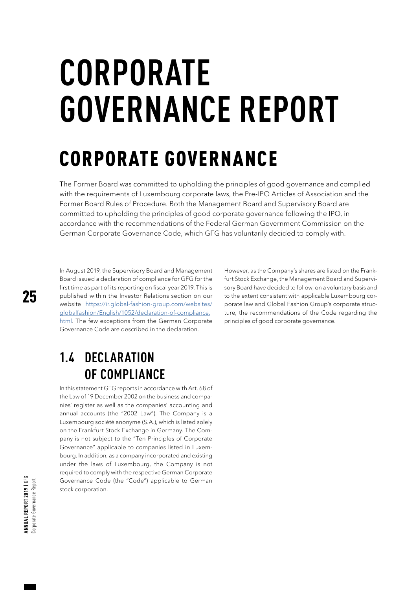# **CORPORATE GOVERNANCE REPORT**

## CORPORATE GOVERNANCE

The Former Board was committed to upholding the principles of good governance and complied with the requirements of Luxembourg corporate laws, the Pre-IPO Articles of Association and the Former Board Rules of Procedure. Both the Management Board and Supervisory Board are committed to upholding the principles of good corporate governance following the IPO, in accordance with the recommendations of the Federal German Government Commission on the German Corporate Governance Code, which GFG has voluntarily decided to comply with.

In August 2019, the Supervisory Board and Management Board issued a declaration of compliance for GFG for the first time as part of its reporting on fiscal year 2019. This is published within the Investor Relations section on our website [https://ir.global-fashion-group.com/websites/](https://ir.global-fashion-group.com/websites/globalfashion/English/1052/declaration-of-compliance.html) [globalfashion/English/1052/declaration-of-compliance.](https://ir.global-fashion-group.com/websites/globalfashion/English/1052/declaration-of-compliance.html) [html.](https://ir.global-fashion-group.com/websites/globalfashion/English/1052/declaration-of-compliance.html) The few exceptions from the German Corporate Governance Code are described in the declaration.

However, as the Company's shares are listed on the Frankfurt Stock Exchange, the Management Board and Supervisory Board have decided to follow, on a voluntary basis and to the extent consistent with applicable Luxembourg corporate law and Global Fashion Group's corporate structure, the recommendations of the Code regarding the principles of good corporate governance.

## **1.4 DECLARATION OF COMPLIANCE**

In this statement GFG reports in accordance with Art. 68 of the Law of 19 December 2002 on the business and companies' register as well as the companies' accounting and annual accounts (the "2002 Law"). The Company is a Luxembourg société anonyme (S.A.), which is listed solely on the Frankfurt Stock Exchange in Germany. The Company is not subject to the "Ten Principles of Corporate Governance" applicable to companies listed in Luxembourg. In addition, as a company incorporated and existing under the laws of Luxembourg, the Company is not required to comply with the respective German Corporate Governance Code (the "Code") applicable to German stock corporation.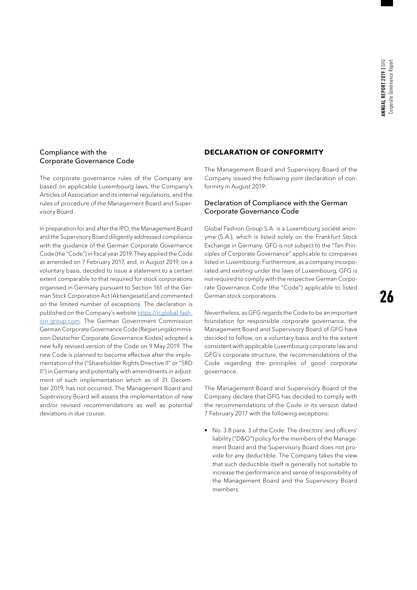#### Compliance with the Corporate Governance Code

The corporate governance rules of the Company are based on applicable Luxembourg laws, the Company's Articles of Association and its internal regulations, and the rules of procedure of the Management Board and Supervisory Board.

In preparation for and after the IPO, the Management Board and the Supervisory Board diligently addressed compliance with the guidance of the German Corporate Governance Code (the "Code") in fiscal year 2019. They applied the Code as amended on 7 February 2017, and, in August 2019, on a voluntary basis, decided to issue a statement to a certain extent comparable to that required for stock corporations organised in Germany pursuant to Section 161 of the German Stock Corporation Act (Aktiengesetz) and commented on the limited number of exceptions. The declaration is published on the Company's website [https://ir.global-fash](https://ir.global-fashion-group.com)[ion-group.com.](https://ir.global-fashion-group.com) The German Government Commission German Corporate Governance Code (Regierungskommission Deutscher Corporate Governance Kodex) adopted a new fully revised version of the Code on 9 May 2019. The new Code is planned to become effective after the implementation of the ("Shareholder Rights Directive II" or "SRD II") in Germany and potentially with amendments in adjustment of such implementation which as of 31 December 2019, has not occurred. The Management Board and Supervisory Board will assess the implementation of new and/or revised recommendations as well as potential deviations in due course.

#### **DECLARATION OF CONFORMITY**

The Management Board and Supervisory Board of the Company issued the following joint declaration of conformity in August 2019:

#### Declaration of Compliance with the German Corporate Governance Code

Global Fashion Group S.A. is a Luxembourg société anonyme (S.A.), which is listed solely on the Frankfurt Stock Exchange in Germany. GFG is not subject to the "Ten Principles of Corporate Governance" applicable to companies listed in Luxembourg. Furthermore, as a company incorporated and existing under the laws of Luxembourg, GFG is not required to comply with the respective German Corporate Governance Code (the "Code") applicable to listed German stock corporations.

Nevertheless, as GFG regards the Code to be an important foundation for responsible corporate governance, the Management Board and Supervisory Board of GFG have decided to follow, on a voluntary basis and to the extent consistent with applicable Luxembourg corporate law and GFG's corporate structure, the recommendations of the Code regarding the principles of good corporate governance.

The Management Board and Supervisory Board of the Company declare that GFG has decided to comply with the recommendations of the Code in its version dated 7 February 2017 with the following exceptions:

• No. 3.8 para. 3 of the Code: The directors' and officers' liability ("D&O") policy for the members of the Management Board and the Supervisory Board does not provide for any deductible. The Company takes the view that such deductible itself is generally not suitable to increase the performance and sense of responsibility of the Management Board and the Supervisory Board members.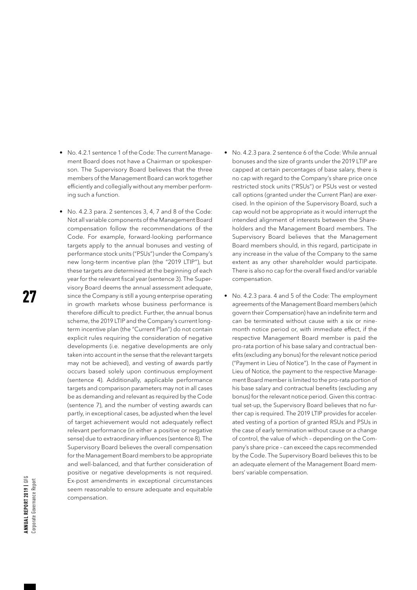- No. 4.2.1 sentence 1 of the Code: The current Management Board does not have a Chairman or spokesperson. The Supervisory Board believes that the three members of the Management Board can work together efficiently and collegially without any member performing such a function.
- No. 4.2.3 para. 2 sentences 3, 4, 7 and 8 of the Code: Not all variable components of the Management Board compensation follow the recommendations of the Code. For example, forward-looking performance targets apply to the annual bonuses and vesting of performance stock units ("PSUs") under the Company's new long-term incentive plan (the "2019 LTIP"), but these targets are determined at the beginning of each year for the relevant fiscal year (sentence 3). The Supervisory Board deems the annual assessment adequate, since the Company is still a young enterprise operating in growth markets whose business performance is therefore difficult to predict. Further, the annual bonus scheme, the 2019 LTIP and the Company's current longterm incentive plan (the "Current Plan") do not contain explicit rules requiring the consideration of negative developments (i.e. negative developments are only taken into account in the sense that the relevant targets may not be achieved), and vesting of awards partly occurs based solely upon continuous employment (sentence 4). Additionally, applicable performance targets and comparison parameters may not in all cases be as demanding and relevant as required by the Code (sentence 7), and the number of vesting awards can partly, in exceptional cases, be adjusted when the level of target achievement would not adequately reflect relevant performance (in either a positive or negative sense) due to extraordinary influences (sentence 8). The Supervisory Board believes the overall compensation for the Management Board members to be appropriate and well-balanced, and that further consideration of positive or negative developments is not required. Ex-post amendments in exceptional circumstances seem reasonable to ensure adequate and equitable compensation.
- No. 4.2.3 para. 2 sentence 6 of the Code: While annual bonuses and the size of grants under the 2019 LTIP are capped at certain percentages of base salary, there is no cap with regard to the Company's share price once restricted stock units ("RSUs") or PSUs vest or vested call options (granted under the Current Plan) are exercised. In the opinion of the Supervisory Board, such a cap would not be appropriate as it would interrupt the intended alignment of interests between the Shareholders and the Management Board members. The Supervisory Board believes that the Management Board members should, in this regard, participate in any increase in the value of the Company to the same extent as any other shareholder would participate. There is also no cap for the overall fixed and/or variable compensation.
- No. 4.2.3 para. 4 and 5 of the Code: The employment agreements of the Management Board members (which govern their Compensation) have an indefinite term and can be terminated without cause with a six or ninemonth notice period or, with immediate effect, if the respective Management Board member is paid the pro-rata portion of his base salary and contractual benefits (excluding any bonus) for the relevant notice period ("Payment in Lieu of Notice"). In the case of Payment in Lieu of Notice, the payment to the respective Management Board member is limited to the pro-rata portion of his base salary and contractual benefits (excluding any bonus) for the relevant notice period. Given this contractual set-up, the Supervisory Board believes that no further cap is required. The 2019 LTIP provides for accelerated vesting of a portion of granted RSUs and PSUs in the case of early termination without cause or a change of control, the value of which – depending on the Company's share price – can exceed the caps recommended by the Code. The Supervisory Board believes this to be an adequate element of the Management Board members' variable compensation.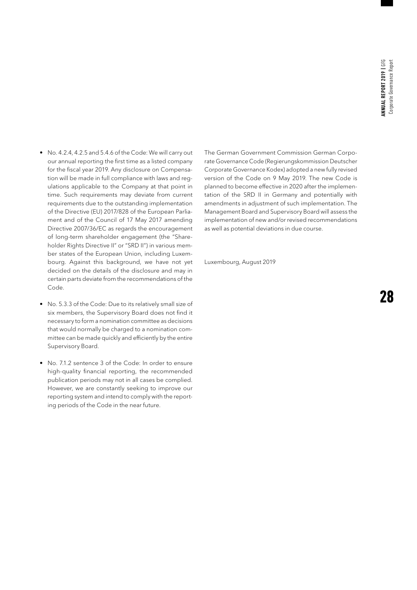- No. 4.2.4, 4.2.5 and 5.4.6 of the Code: We will carry out our annual reporting the first time as a listed company for the fiscal year 2019. Any disclosure on Compensation will be made in full compliance with laws and regulations applicable to the Company at that point in time. Such requirements may deviate from current requirements due to the outstanding implementation of the Directive (EU) 2017/828 of the European Parliament and of the Council of 17 May 2017 amending Directive 2007/36/EC as regards the encouragement of long-term shareholder engagement (the "Shareholder Rights Directive II" or "SRD II") in various member states of the European Union, including Luxembourg. Against this background, we have not yet decided on the details of the disclosure and may in certain parts deviate from the recommendations of the Code.
- No. 5.3.3 of the Code: Due to its relatively small size of six members, the Supervisory Board does not find it necessary to form a nomination committee as decisions that would normally be charged to a nomination committee can be made quickly and efficiently by the entire Supervisory Board.
- No. 7.1.2 sentence 3 of the Code: In order to ensure high-quality financial reporting, the recommended publication periods may not in all cases be complied. However, we are constantly seeking to improve our reporting system and intend to comply with the reporting periods of the Code in the near future.

The German Government Commission German Corporate Governance Code (Regierungskommission Deutscher Corporate Governance Kodex) adopted a new fully revised version of the Code on 9 May 2019. The new Code is planned to become effective in 2020 after the implementation of the SRD II in Germany and potentially with amendments in adjustment of such implementation. The Management Board and Supervisory Board will assess the implementation of new and/or revised recommendations as well as potential deviations in due course.

Luxembourg, August 2019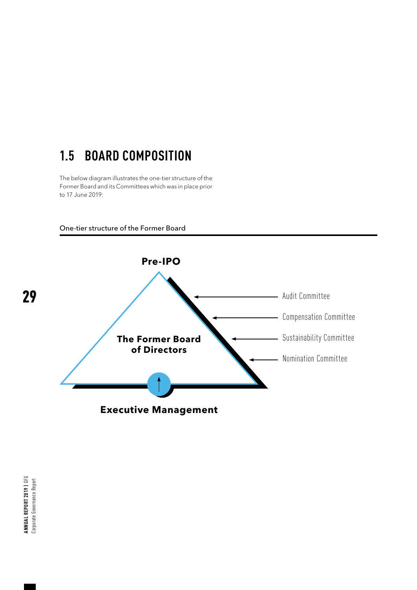## **1.5 BOARD COMPOSITION**

The below diagram illustrates the one-tier structure of the Former Board and its Committees which was in place prior to 17 June 2019:





ANNUAL REPORT 2019 | GFG<br>Corporate Governance Report **Annual Report 2019 |** GFG Corporate Governance Report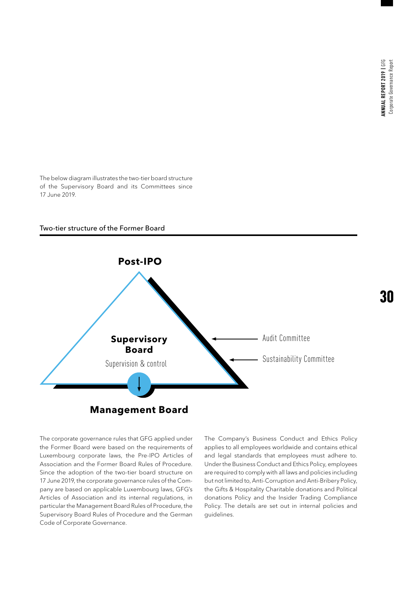The below diagram illustrates the two-tier board structure of the Supervisory Board and its Committees since 17 June 2019.

#### Two-tier structure of the Former Board



The corporate governance rules that GFG applied under the Former Board were based on the requirements of Luxembourg corporate laws, the Pre-IPO Articles of Association and the Former Board Rules of Procedure. Since the adoption of the two-tier board structure on 17 June 2019, the corporate governance rules of the Company are based on applicable Luxembourg laws, GFG's Articles of Association and its internal regulations, in particular the Management Board Rules of Procedure, the Supervisory Board Rules of Procedure and the German Code of Corporate Governance.

The Company's Business Conduct and Ethics Policy applies to all employees worldwide and contains ethical and legal standards that employees must adhere to. Under the Business Conduct and Ethics Policy, employees are required to comply with all laws and policies including but not limited to, Anti-Corruption and Anti-Bribery Policy, the Gifts & Hospitality Charitable donations and Political donations Policy and the Insider Trading Compliance Policy. The details are set out in internal policies and guidelines.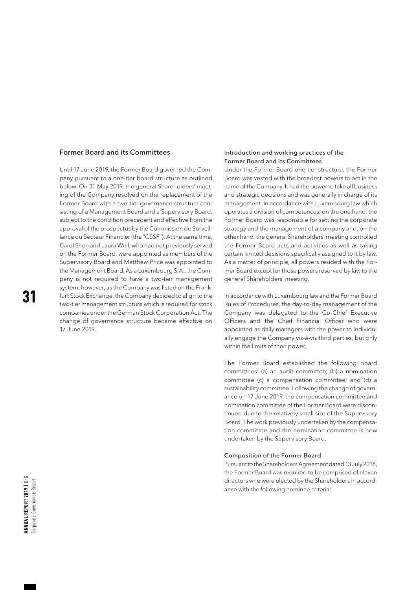#### Former Board and its Committees

Until 17 June 2019, the Former Board governed the Company pursuant to a one-tier board structure as outlined below. On 31 May 2019, the general Shareholders' meeting of the Company resolved on the replacement of the Former Board with a two-tier governance structure consisting of a Management Board and a Supervisory Board, subject to the condition precedent and effective from the approval of the prospectus by the Commission de Surveillance du Secteur Financier (the "CSSF"). At the same time, Carol Shen and Laura Weil, who had not previously served on the Former Board, were appointed as members of the Supervisory Board and Matthew Price was appointed to the Management Board. As a Luxembourg S.A., the Company is not required to have a two-tier management system, however, as the Company was listed on the Frankfurt Stock Exchange, the Company decided to align to the two-tier management structure which is required for stock companies under the German Stock Corporation Act. The change of governance structure became effective on 17 June 2019.

#### Introduction and working practices of the Former Board and its Committees

Under the Former Board one-tier structure, the Former Board was vested with the broadest powers to act in the name of the Company. It had the power to take all business and strategic decisions and was generally in charge of its management. In accordance with Luxembourg law which operates a division of competences, on the one hand, the Former Board was responsible for setting the corporate strategy and the management of a company and, on the other hand, the general Shareholders' meeting controlled the Former Board acts and activities as well as taking certain limited decisions specifically assigned to it by law. As a matter of principle, all powers resided with the Former Board except for those powers reserved by law to the general Shareholders' meeting.

In accordance with Luxembourg law and the Former Board Rules of Procedures, the day-to-day management of the Company was delegated to the Co-Chief Executive Officers and the Chief Financial Officer who were appointed as daily managers with the power to individually engage the Company vis-à-vis third parties, but only within the limits of their power.

The Former Board established the following board committees: (a) an audit committee; (b) a nomination committee (c) a compensation committee; and (d) a sustainability committee. Following the change of governance on 17 June 2019, the compensation committee and nomination committee of the Former Board were discontinued due to the relatively small size of the Supervisory Board. The work previously undertaken by the compensation committee and the nomination committee is now undertaken by the Supervisory Board.

#### Composition of the Former Board

Pursuant to the Shareholders Agreement dated 13 July 2018, the Former Board was required to be comprised of eleven directors who were elected by the Shareholders in accordance with the following nominee criteria: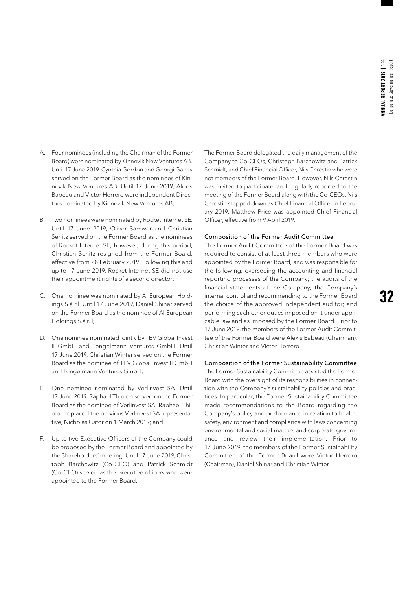- A. Four nominees (including the Chairman of the Former Board) were nominated by Kinnevik New Ventures AB. Until 17 June 2019, Cynthia Gordon and Georgi Ganev served on the Former Board as the nominees of Kinnevik New Ventures AB. Until 17 June 2019, Alexis Babeau and Victor Herrero were independent Directors nominated by Kinnevik New Ventures AB;
- B. Two nominees were nominated by Rocket Internet SE. Until 17 June 2019, Oliver Samwer and Christian Senitz served on the Former Board as the nominees of Rocket Internet SE; however, during this period, Christian Senitz resigned from the Former Board, effective from 28 February 2019. Following this and up to 17 June 2019, Rocket Internet SE did not use their appointment rights of a second director;
- C. One nominee was nominated by AI European Holdings S.à r.l. Until 17 June 2019, Daniel Shinar served on the Former Board as the nominee of AI European Holdings S.à r. l;
- D. One nominee nominated jointly by TEV Global Invest II GmbH and Tengelmann Ventures GmbH. Until 17 June 2019, Christian Winter served on the Former Board as the nominee of TEV Global Invest II GmbH and Tengelmann Ventures GmbH;
- E. One nominee nominated by Verlinvest SA. Until 17 June 2019, Raphael Thiolon served on the Former Board as the nominee of Verlinvest SA. Raphael Thiolon replaced the previous Verlinvest SA representative, Nicholas Cator on 1 March 2019; and
- F. Up to two Executive Officers of the Company could be proposed by the Former Board and appointed by the Shareholders' meeting. Until 17 June 2019, Christoph Barchewitz (Co-CEO) and Patrick Schmidt (Co-CEO) served as the executive officers who were appointed to the Former Board.

The Former Board delegated the daily management of the Company to Co-CEOs, Christoph Barchewitz and Patrick Schmidt, and Chief Financial Officer, Nils Chrestin who were not members of the Former Board. However, Nils Chrestin was invited to participate, and regularly reported to the meeting of the Former Board along with the Co-CEOs. Nils Chrestin stepped down as Chief Financial Officer in February 2019. Matthew Price was appointed Chief Financial Officer, effective from 9 April 2019.

#### Composition of the Former Audit Committee

The Former Audit Committee of the Former Board was required to consist of at least three members who were appointed by the Former Board, and was responsible for the following: overseeing the accounting and financial reporting processes of the Company; the audits of the financial statements of the Company; the Company's internal control and recommending to the Former Board the choice of the approved independent auditor; and performing such other duties imposed on it under applicable law and as imposed by the Former Board. Prior to 17 June 2019, the members of the Former Audit Committee of the Former Board were Alexis Babeau (Chairman), Christian Winter and Victor Herrero.

#### Composition of the Former Sustainability Committee

The Former Sustainability Committee assisted the Former Board with the oversight of its responsibilities in connection with the Company's sustainability policies and practices. In particular, the Former Sustainability Committee made recommendations to the Board regarding the Company's policy and performance in relation to health, safety, environment and compliance with laws concerning environmental and social matters and corporate governance and review their implementation. Prior to 17 June 2019, the members of the Former Sustainability Committee of the Former Board were Victor Herrero (Chairman), Daniel Shinar and Christian Winter.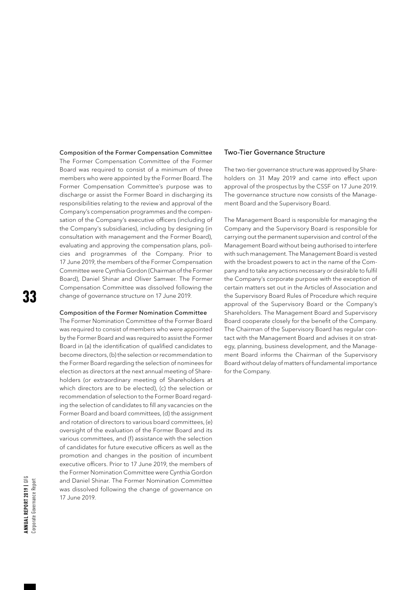#### Composition of the Former Compensation Committee

The Former Compensation Committee of the Former Board was required to consist of a minimum of three members who were appointed by the Former Board. The Former Compensation Committee's purpose was to discharge or assist the Former Board in discharging its responsibilities relating to the review and approval of the Company's compensation programmes and the compensation of the Company's executive officers (including of the Company's subsidiaries), including by designing (in consultation with management and the Former Board), evaluating and approving the compensation plans, policies and programmes of the Company. Prior to 17 June 2019, the members of the Former Compensation Committee were Cynthia Gordon (Chairman of the Former Board), Daniel Shinar and Oliver Samwer. The Former Compensation Committee was dissolved following the change of governance structure on 17 June 2019.

#### Composition of the Former Nomination Committee

The Former Nomination Committee of the Former Board was required to consist of members who were appointed by the Former Board and was required to assist the Former Board in (a) the identification of qualified candidates to become directors, (b) the selection or recommendation to the Former Board regarding the selection of nominees for election as directors at the next annual meeting of Shareholders (or extraordinary meeting of Shareholders at which directors are to be elected), (c) the selection or recommendation of selection to the Former Board regarding the selection of candidates to fill any vacancies on the Former Board and board committees, (d) the assignment and rotation of directors to various board committees, (e) oversight of the evaluation of the Former Board and its various committees, and (f) assistance with the selection of candidates for future executive officers as well as the promotion and changes in the position of incumbent executive officers. Prior to 17 June 2019, the members of the Former Nomination Committee were Cynthia Gordon and Daniel Shinar. The Former Nomination Committee was dissolved following the change of governance on 17 June 2019.

#### Two-Tier Governance Structure

The two-tier governance structure was approved by Shareholders on 31 May 2019 and came into effect upon approval of the prospectus by the CSSF on 17 June 2019. The governance structure now consists of the Management Board and the Supervisory Board.

The Management Board is responsible for managing the Company and the Supervisory Board is responsible for carrying out the permanent supervision and control of the Management Board without being authorised to interfere with such management. The Management Board is vested with the broadest powers to act in the name of the Company and to take any actions necessary or desirable to fulfil the Company's corporate purpose with the exception of certain matters set out in the Articles of Association and the Supervisory Board Rules of Procedure which require approval of the Supervisory Board or the Company's Shareholders. The Management Board and Supervisory Board cooperate closely for the benefit of the Company. The Chairman of the Supervisory Board has regular contact with the Management Board and advises it on strategy, planning, business development, and the Management Board informs the Chairman of the Supervisory Board without delay of matters of fundamental importance for the Company.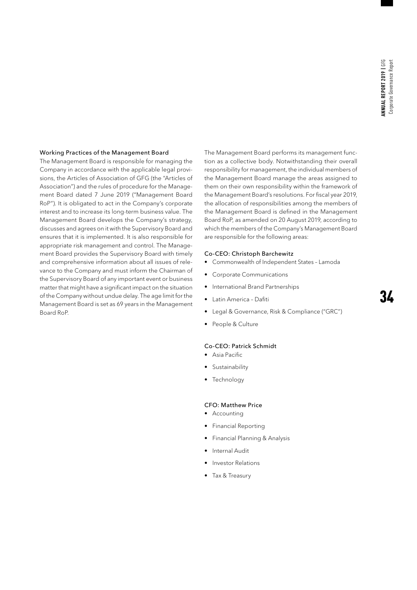#### Working Practices of the Management Board

The Management Board is responsible for managing the Company in accordance with the applicable legal provisions, the Articles of Association of GFG (the "Articles of Association") and the rules of procedure for the Management Board dated 7 June 2019 ("Management Board RoP"). It is obligated to act in the Company's corporate interest and to increase its long-term business value. The Management Board develops the Company's strategy, discusses and agrees on it with the Supervisory Board and ensures that it is implemented. It is also responsible for appropriate risk management and control. The Management Board provides the Supervisory Board with timely and comprehensive information about all issues of relevance to the Company and must inform the Chairman of the Supervisory Board of any important event or business matter that might have a significant impact on the situation of the Company without undue delay. The age limit for the Management Board is set as 69 years in the Management Board RoP.

The Management Board performs its management function as a collective body. Notwithstanding their overall responsibility for management, the individual members of the Management Board manage the areas assigned to them on their own responsibility within the framework of the Management Board's resolutions. For fiscal year 2019, the allocation of responsibilities among the members of the Management Board is defined in the Management Board RoP, as amended on 20 August 2019, according to which the members of the Company's Management Board are responsible for the following areas:

#### Co-CEO: Christoph Barchewitz

- Commonwealth of Independent States Lamoda
- Corporate Communications
- International Brand Partnerships
- Latin America Dafiti
- Legal & Governance, Risk & Compliance ("GRC")
- People & Culture

#### Co-CEO: Patrick Schmidt

- Asia Pacific
- Sustainability
- **Technology**

#### CFO: Matthew Price

- Accounting
- Financial Reporting
- Financial Planning & Analysis
- Internal Audit
- Investor Relations
- Tax & Treasury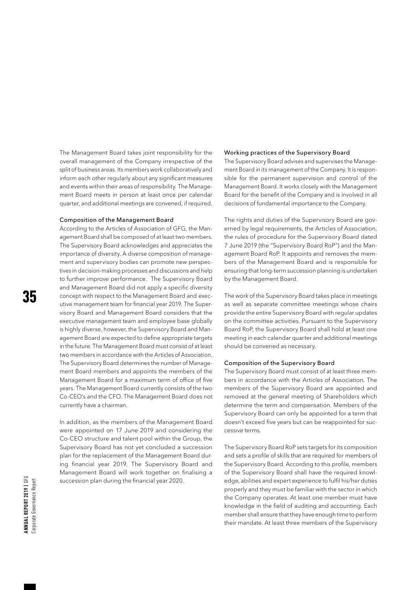The Management Board takes joint responsibility for the overall management of the Company irrespective of the split of business areas. Its members work collaboratively and inform each other regularly about any significant measures and events within their areas of responsibility. The Management Board meets in person at least once per calendar quarter, and additional meetings are convened, if required.

#### Composition of the Management Board

According to the Articles of Association of GFG, the Management Board shall be composed of at least two members. The Supervisory Board acknowledges and appreciates the importance of diversity. A diverse composition of management and supervisory bodies can promote new perspectives in decision-making processes and discussions and help to further improve performance. The Supervisory Board and Management Board did not apply a specific diversity concept with respect to the Management Board and executive management team for financial year 2019. The Supervisory Board and Management Board considers that the executive management team and employee base globally is highly diverse, however, the Supervisory Board and Management Board are expected to define appropriate targets in the future. The Management Board must consist of at least two members in accordance with the Articles of Association. The Supervisory Board determines the number of Management Board members and appoints the members of the Management Board for a maximum term of office of five years. The Management Board currently consists of the two Co-CEO's and the CFO. The Management Board does not currently have a chairman.

In addition, as the members of the Management Board were appointed on 17 June 2019 and considering the Co-CEO structure and talent pool within the Group, the Supervisory Board has not yet concluded a succession plan for the replacement of the Management Board during financial year 2019. The Supervisory Board and Management Board will work together on finalising a succession plan during the financial year 2020.

#### Working practices of the Supervisory Board

The Supervisory Board advises and supervises the Management Board in its management of the Company. It is responsible for the permanent supervision and control of the Management Board. It works closely with the Management Board for the benefit of the Company and is involved in all decisions of fundamental importance to the Company.

The rights and duties of the Supervisory Board are governed by legal requirements, the Articles of Association, the rules of procedure for the Supervisory Board dated 7 June 2019 (the "Supervisory Board RoP") and the Management Board RoP. It appoints and removes the members of the Management Board and is responsible for ensuring that long-term succession planning is undertaken by the Management Board.

The work of the Supervisory Board takes place in meetings as well as separate committee meetings whose chairs provide the entire Supervisory Board with regular updates on the committee activities. Pursuant to the Supervisory Board RoP, the Supervisory Board shall hold at least one meeting in each calendar quarter and additional meetings should be convened as necessary.

#### Composition of the Supervisory Board

The Supervisory Board must consist of at least three members in accordance with the Articles of Association. The members of the Supervisory Board are appointed and removed at the general meeting of Shareholders which determine the term and compensation. Members of the Supervisory Board can only be appointed for a term that doesn't exceed five years but can be reappointed for successive terms.

The Supervisory Board RoP sets targets for its composition and sets a profile of skills that are required for members of the Supervisory Board. According to this profile, members of the Supervisory Board shall have the required knowledge, abilities and expert experience to fulfil his/her duties properly and they must be familiar with the sector in which the Company operates. At least one member must have knowledge in the field of auditing and accounting. Each member shall ensure that they have enough time to perform their mandate. At least three members of the Supervisory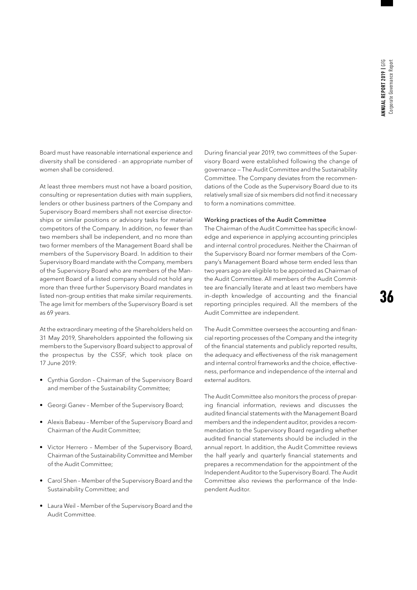Board must have reasonable international experience and diversity shall be considered - an appropriate number of women shall be considered.

At least three members must not have a board position, consulting or representation duties with main suppliers, lenders or other business partners of the Company and Supervisory Board members shall not exercise directorships or similar positions or advisory tasks for material competitors of the Company. In addition, no fewer than two members shall be independent, and no more than two former members of the Management Board shall be members of the Supervisory Board. In addition to their Supervisory Board mandate with the Company, members of the Supervisory Board who are members of the Management Board of a listed company should not hold any more than three further Supervisory Board mandates in listed non-group entities that make similar requirements. The age limit for members of the Supervisory Board is set as 69 years.

At the extraordinary meeting of the Shareholders held on 31 May 2019, Shareholders appointed the following six members to the Supervisory Board subject to approval of the prospectus by the CSSF, which took place on 17 June 2019:

- Cynthia Gordon Chairman of the Supervisory Board and member of the Sustainability Committee;
- Georgi Ganev Member of the Supervisory Board;
- Alexis Babeau Member of the Supervisory Board and Chairman of the Audit Committee;
- Victor Herrero Member of the Supervisory Board, Chairman of the Sustainability Committee and Member of the Audit Committee;
- Carol Shen Member of the Supervisory Board and the Sustainability Committee; and
- Laura Weil Member of the Supervisory Board and the Audit Committee.

During financial year 2019, two committees of the Supervisory Board were established following the change of governance — The Audit Committee and the Sustainability Committee. The Company deviates from the recommendations of the Code as the Supervisory Board due to its relatively small size of six members did not find it necessary to form a nominations committee.

#### Working practices of the Audit Committee

The Chairman of the Audit Committee has specific knowledge and experience in applying accounting principles and internal control procedures. Neither the Chairman of the Supervisory Board nor former members of the Company's Management Board whose term ended less than two years ago are eligible to be appointed as Chairman of the Audit Committee. All members of the Audit Committee are financially literate and at least two members have in-depth knowledge of accounting and the financial reporting principles required. All the members of the Audit Committee are independent.

The Audit Committee oversees the accounting and financial reporting processes of the Company and the integrity of the financial statements and publicly reported results, the adequacy and effectiveness of the risk management and internal control frameworks and the choice, effectiveness, performance and independence of the internal and external auditors.

The Audit Committee also monitors the process of preparing financial information, reviews and discusses the audited financial statements with the Management Board members and the independent auditor, provides a recommendation to the Supervisory Board regarding whether audited financial statements should be included in the annual report. In addition, the Audit Committee reviews the half yearly and quarterly financial statements and prepares a recommendation for the appointment of the Independent Auditor to the Supervisory Board. The Audit Committee also reviews the performance of the Independent Auditor.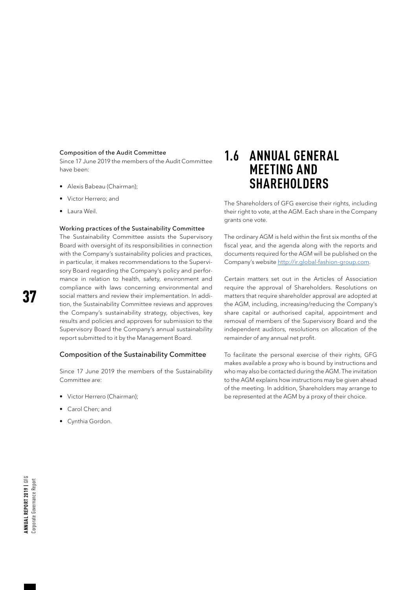#### Composition of the Audit Committee

Since 17 June 2019 the members of the Audit Committee have been:

- Alexis Babeau (Chairman);
- Victor Herrero; and
- Laura Weil.

#### Working practices of the Sustainability Committee

The Sustainability Committee assists the Supervisory Board with oversight of its responsibilities in connection with the Company's sustainability policies and practices, in particular, it makes recommendations to the Supervisory Board regarding the Company's policy and performance in relation to health, safety, environment and compliance with laws concerning environmental and social matters and review their implementation. In addition, the Sustainability Committee reviews and approves the Company's sustainability strategy, objectives, key results and policies and approves for submission to the Supervisory Board the Company's annual sustainability report submitted to it by the Management Board.

#### Composition of the Sustainability Committee

Since 17 June 2019 the members of the Sustainability Committee are:

- Victor Herrero (Chairman);
- Carol Chen; and
- Cynthia Gordon.

## **1.6 ANNUAL GENERAL MEETING AND SHAREHOLDERS**

The Shareholders of GFG exercise their rights, including their right to vote, at the AGM. Each share in the Company grants one vote.

The ordinary AGM is held within the first six months of the fiscal year, and the agenda along with the reports and documents required for the AGM will be published on the Company's website <http://ir.global-fashion-group.com>.

Certain matters set out in the Articles of Association require the approval of Shareholders. Resolutions on matters that require shareholder approval are adopted at the AGM, including, increasing/reducing the Company's share capital or authorised capital, appointment and removal of members of the Supervisory Board and the independent auditors, resolutions on allocation of the remainder of any annual net profit.

To facilitate the personal exercise of their rights, GFG makes available a proxy who is bound by instructions and who may also be contacted during the AGM. The invitation to the AGM explains how instructions may be given ahead of the meeting. In addition, Shareholders may arrange to be represented at the AGM by a proxy of their choice.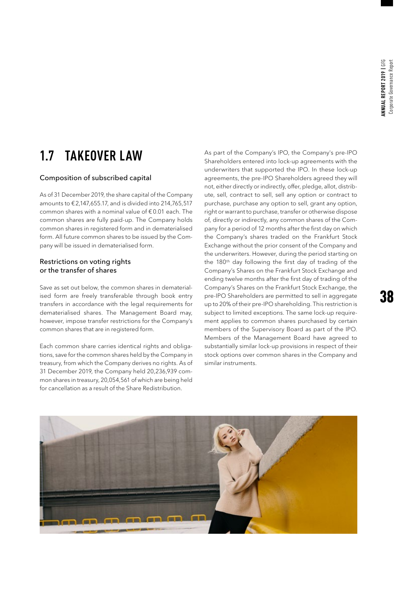## **1.7 TAKEOVER LAW**

#### Composition of subscribed capital

As of 31 December 2019, the share capital of the Company amounts to €2,147,655.17, and is divided into 214,765,517 common shares with a nominal value of € 0.01 each. The common shares are fully paid-up. The Company holds common shares in registered form and in dematerialised form. All future common shares to be issued by the Company will be issued in dematerialised form.

#### Restrictions on voting rights or the transfer of shares

Save as set out below, the common shares in dematerialised form are freely transferable through book entry transfers in accordance with the legal requirements for dematerialised shares. The Management Board may, however, impose transfer restrictions for the Company's common shares that are in registered form.

Each common share carries identical rights and obligations, save for the common shares held by the Company in treasury, from which the Company derives no rights. As of 31 December 2019, the Company held 20,236,939 common shares in treasury, 20,054,561 of which are being held for cancellation as a result of the Share Redistribution.

As part of the Company's IPO, the Company's pre-IPO Shareholders entered into lock-up agreements with the underwriters that supported the IPO. In these lock-up agreements, the pre-IPO Shareholders agreed they will not, either directly or indirectly, offer, pledge, allot, distribute, sell, contract to sell, sell any option or contract to purchase, purchase any option to sell, grant any option, right or warrant to purchase, transfer or otherwise dispose of, directly or indirectly, any common shares of the Company for a period of 12 months after the first day on which the Company's shares traded on the Frankfurt Stock Exchange without the prior consent of the Company and the underwriters. However, during the period starting on the 180<sup>th</sup> day following the first day of trading of the Company's Shares on the Frankfurt Stock Exchange and ending twelve months after the first day of trading of the Company's Shares on the Frankfurt Stock Exchange, the pre-IPO Shareholders are permitted to sell in aggregate up to 20% of their pre-IPO shareholding. This restriction is subject to limited exceptions. The same lock-up requirement applies to common shares purchased by certain members of the Supervisory Board as part of the IPO. Members of the Management Board have agreed to substantially similar lock-up provisions in respect of their stock options over common shares in the Company and similar instruments.

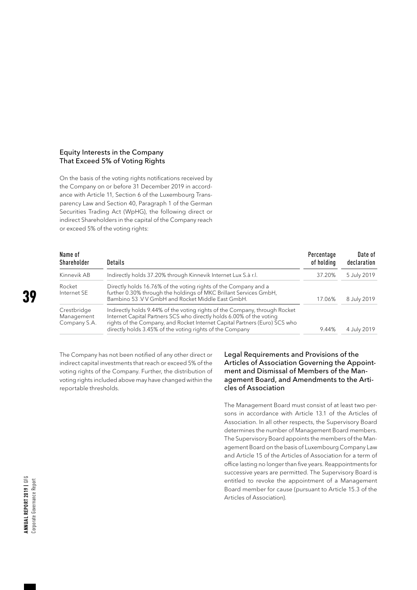#### Equity Interests in the Company That Exceed 5% of Voting Rights

On the basis of the voting rights notifications received by the Company on or before 31 December 2019 in accordance with Article 11, Section 6 of the Luxembourg Transparency Law and Section 40, Paragraph 1 of the German Securities Trading Act (WpHG), the following direct or indirect Shareholders in the capital of the Company reach or exceed 5% of the voting rights:

| Name of<br>Shareholder                    | Details                                                                                                                                                                                                                                                                                      | Percentage<br>of holding | Date of<br>declaration |
|-------------------------------------------|----------------------------------------------------------------------------------------------------------------------------------------------------------------------------------------------------------------------------------------------------------------------------------------------|--------------------------|------------------------|
| Kinnevik AB                               | Indirectly holds 37.20% through Kinnevik Internet Lux S.à r.l.                                                                                                                                                                                                                               | 37.20%                   | 5 July 2019            |
| Rocket<br>Internet SE                     | Directly holds 16.76% of the voting rights of the Company and a<br>further 0.30% through the holdings of MKC Brillant Services GmbH,<br>Bambino 53 V V GmbH and Rocket Middle East GmbH.                                                                                                     | 17.06%                   | 8 July 2019            |
| Crestbridge<br>Management<br>Company S.A. | Indirectly holds 9.44% of the voting rights of the Company, through Rocket<br>Internet Capital Partners SCS who directly holds 6.00% of the voting<br>rights of the Company, and Rocket Internet Capital Partners (Euro) SCS who<br>directly holds 3.45% of the voting rights of the Company | 9.44%                    | 4 July 2019            |

The Company has not been notified of any other direct or indirect capital investments that reach or exceed 5% of the voting rights of the Company. Further, the distribution of voting rights included above may have changed within the reportable thresholds.

#### Legal Requirements and Provisions of the Articles of Association Governing the Appointment and Dismissal of Members of the Management Board, and Amendments to the Articles of Association

The Management Board must consist of at least two persons in accordance with Article 13.1 of the Articles of Association. In all other respects, the Supervisory Board determines the number of Management Board members. The Supervisory Board appoints the members of the Management Board on the basis of Luxembourg Company Law and Article 15 of the Articles of Association for a term of office lasting no longer than five years. Reappointments for successive years are permitted. The Supervisory Board is entitled to revoke the appointment of a Management Board member for cause (pursuant to Article 15.3 of the Articles of Association).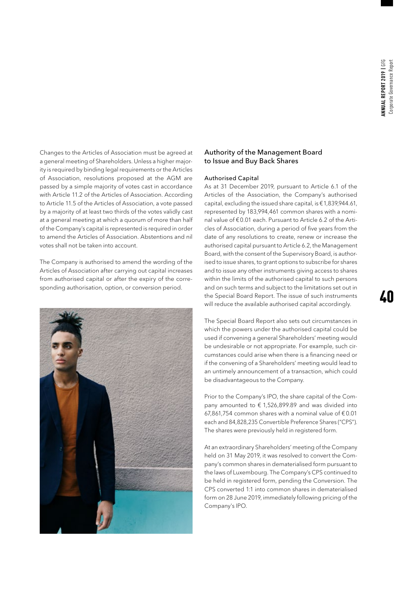Changes to the Articles of Association must be agreed at a general meeting of Shareholders. Unless a higher majority is required by binding legal requirements or the Articles of Association, resolutions proposed at the AGM are passed by a simple majority of votes cast in accordance with Article 11.2 of the Articles of Association. According to Article 11.5 of the Articles of Association, a vote passed by a majority of at least two thirds of the votes validly cast at a general meeting at which a quorum of more than half of the Company's capital is represented is required in order to amend the Articles of Association. Abstentions and nil votes shall not be taken into account.

The Company is authorised to amend the wording of the Articles of Association after carrying out capital increases from authorised capital or after the expiry of the corresponding authorisation, option, or conversion period.



#### Authority of the Management Board to Issue and Buy Back Shares

#### Authorised Capital

As at 31 December 2019, pursuant to Article 6.1 of the Articles of the Association, the Company's authorised capital, excluding the issued share capital, is €1,839,944.61, represented by 183,994,461 common shares with a nominal value of €0.01 each. Pursuant to Article 6.2 of the Articles of Association, during a period of five years from the date of any resolutions to create, renew or increase the authorised capital pursuant to Article 6.2, the Management Board, with the consent of the Supervisory Board, is authorised to issue shares, to grant options to subscribe for shares and to issue any other instruments giving access to shares within the limits of the authorised capital to such persons and on such terms and subject to the limitations set out in the Special Board Report. The issue of such instruments will reduce the available authorised capital accordingly.

The Special Board Report also sets out circumstances in which the powers under the authorised capital could be used if convening a general Shareholders' meeting would be undesirable or not appropriate. For example, such circumstances could arise when there is a financing need or if the convening of a Shareholders' meeting would lead to an untimely announcement of a transaction, which could be disadvantageous to the Company.

Prior to the Company's IPO, the share capital of the Company amounted to  $\epsilon$  1,526,899.89 and was divided into 67,861,754 common shares with a nominal value of  $€0.01$ each and 84,828,235 Convertible Preference Shares ("CPS"). The shares were previously held in registered form.

At an extraordinary Shareholders' meeting of the Company held on 31 May 2019, it was resolved to convert the Company's common shares in dematerialised form pursuant to the laws of Luxembourg. The Company's CPS continued to be held in registered form, pending the Conversion. The CPS converted 1:1 into common shares in dematerialised form on 28 June 2019, immediately following pricing of the Company's IPO.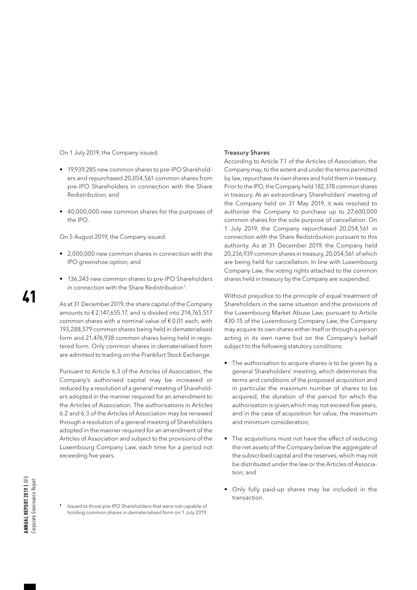On 1 July 2019, the Company issued:

- 19,939,285 new common shares to pre-IPO Shareholders and repurchased 20,054,561 common shares from pre-IPO Shareholders in connection with the Share Redistribution; and
- 40,000,000 new common shares for the purposes of the IPO.

On 5 August 2019, the Company issued:

- 2,000,000 new common shares in connection with the IPO greenshoe option; and
- 136,243 new common shares to pre-IPO Shareholders in connection with the Share Redistribution<sup>1</sup>.

As at 31 December 2019, the share capital of the Company amounts to €2,147,655.17, and is divided into 214,765,517 common shares with a nominal value of  $\epsilon$  0.01 each, with 193,288,579 common shares being held in dematerialised form and 21,476,938 common shares being held in registered form. Only common shares in dematerialised form are admitted to trading on the Frankfurt Stock Exchange.

Pursuant to Article 6.3 of the Articles of Association, the Company's authorised capital may be increased or reduced by a resolution of a general meeting of Shareholders adopted in the manner required for an amendment to the Articles of Association. The authorisations in Articles 6.2 and 6.3 of the Articles of Association may be renewed through a resolution of a general meeting of Shareholders adopted in the manner required for an amendment of the Articles of Association and subject to the provisions of the Luxembourg Company Law, each time for a period not exceeding five years.

**<sup>1</sup>** Issued to those pre-IPO Shareholders that were not capable of holding common shares in dematerialised form on 1 July 2019.

#### Treasury Shares

According to Article 7.1 of the Articles of Association, the Company may, to the extent and under the terms permitted by law, repurchase its own shares and hold them in treasury. Prior to the IPO, the Company held 182,378 common shares in treasury. At an extraordinary Shareholders' meeting of the Company held on 31 May 2019, it was resolved to authorise the Company to purchase up to 27,600,000 common shares for the sole purpose of cancellation. On 1 July 2019, the Company repurchased 20,054,561 in connection with the Share Redistribution pursuant to this authority. As at 31 December 2019, the Company held 20,236,939 common shares in treasury, 20,054,561 of which are being held for cancellation. In line with Luxembourg Company Law, the voting rights attached to the common shares held in treasury by the Company are suspended.

Without prejudice to the principle of equal treatment of Shareholders in the same situation and the provisions of the Luxembourg Market Abuse Law, pursuant to Article 430-15 of the Luxembourg Company Law, the Company may acquire its own shares either itself or through a person acting in its own name but on the Company's behalf subject to the following statutory conditions:

- The authorisation to acquire shares is to be given by a general Shareholders' meeting, which determines the terms and conditions of the proposed acquisition and in particular the maximum number of shares to be acquired, the duration of the period for which the authorisation is given,which may not exceed five years, and in the case of acquisition for value, the maximum and minimum consideration;
- The acquisitions must not have the effect of reducing the net assets of the Company below the aggregate of the subscribed capital and the reserves, which may not be distributed under the law or the Articles of Association; and
- Only fully paid-up shares may be included in the transaction.

41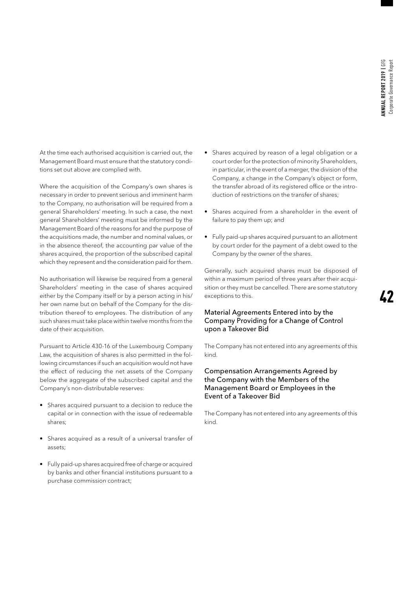At the time each authorised acquisition is carried out, the Management Board must ensure that the statutory conditions set out above are complied with.

Where the acquisition of the Company's own shares is necessary in order to prevent serious and imminent harm to the Company, no authorisation will be required from a general Shareholders' meeting. In such a case, the next general Shareholders' meeting must be informed by the Management Board of the reasons for and the purpose of the acquisitions made, the number and nominal values, or in the absence thereof, the accounting par value of the shares acquired, the proportion of the subscribed capital which they represent and the consideration paid for them.

No authorisation will likewise be required from a general Shareholders' meeting in the case of shares acquired either by the Company itself or by a person acting in his/ her own name but on behalf of the Company for the distribution thereof to employees. The distribution of any such shares must take place within twelve months from the date of their acquisition.

Pursuant to Article 430-16 of the Luxembourg Company Law, the acquisition of shares is also permitted in the following circumstances if such an acquisition would not have the effect of reducing the net assets of the Company below the aggregate of the subscribed capital and the Company's non-distributable reserves:

- Shares acquired pursuant to a decision to reduce the capital or in connection with the issue of redeemable shares;
- Shares acquired as a result of a universal transfer of assets;
- Fully paid-up shares acquired free of charge or acquired by banks and other financial institutions pursuant to a purchase commission contract;
- Shares acquired by reason of a legal obligation or a court order for the protection of minority Shareholders, in particular, in the event of a merger, the division of the Company, a change in the Company's object or form, the transfer abroad of its registered office or the introduction of restrictions on the transfer of shares;
- Shares acquired from a shareholder in the event of failure to pay them up; and
- Fully paid-up shares acquired pursuant to an allotment by court order for the payment of a debt owed to the Company by the owner of the shares.

Generally, such acquired shares must be disposed of within a maximum period of three years after their acquisition or they must be cancelled. There are some statutory exceptions to this.

#### Material Agreements Entered into by the Company Providing for a Change of Control upon a Takeover Bid

The Company has not entered into any agreements of this kind.

#### Compensation Arrangements Agreed by the Company with the Members of the Management Board or Employees in the Event of a Takeover Bid

The Company has not entered into any agreements of this kind.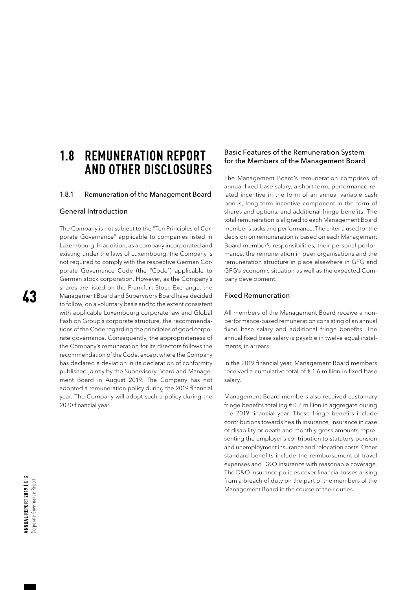### **1.8 REMUNERATION REPORT AND OTHER DISCLOSURES**

#### 1.8.1 Remuneration of the Management Board

#### General Introduction

The Company is not subject to the "Ten Principles of Corporate Governance" applicable to companies listed in Luxembourg. In addition, as a company incorporated and existing under the laws of Luxembourg, the Company is not required to comply with the respective German Corporate Governance Code (the "Code") applicable to German stock corporation. However, as the Company's shares are listed on the Frankfurt Stock Exchange, the Management Board and Supervisory Board have decided to follow, on a voluntary basis and to the extent consistent with applicable Luxembourg corporate law and Global Fashion Group's corporate structure, the recommendations of the Code regarding the principles of good corporate governance. Consequently, the appropriateness of the Company's remuneration for its directors follows the recommendation of the Code, except where the Company has declared a deviation in its declaration of conformity published jointly by the Supervisory Board and Management Board in August 2019. The Company has not adopted a remuneration policy during the 2019 financial year. The Company will adopt such a policy during the 2020 financial year.

#### Basic Features of the Remuneration System for the Members of the Management Board

The Management Board's remuneration comprises of annual fixed base salary, a short-term, performance-related incentive in the form of an annual variable cash bonus, long-term incentive component in the form of shares and options, and additional fringe benefits. The total remuneration is aligned to each Management Board member's tasks and performance. The criteria used for the decision on remuneration is based on each Management Board member's responsibilities, their personal performance, the remuneration in peer organisations and the remuneration structure in place elsewhere in GFG and GFG's economic situation as well as the expected Company development.

#### Fixed Remuneration

All members of the Management Board receive a nonperformance-based remuneration consisting of an annual fixed base salary and additional fringe benefits. The annual fixed base salary is payable in twelve equal instalments, in arrears.

In the 2019 financial year, Management Board members received a cumulative total of  $\epsilon$  1.6 million in fixed base salary.

Management Board members also received customary fringe benefits totalling €0.2 million in aggregate during the 2019 financial year. These fringe benefits include contributions towards health insurance, insurance in case of disability or death and monthly gross amounts representing the employer's contribution to statutory pension and unemployment insurance and relocation costs. Other standard benefits include the reimbursement of travel expenses and D&O insurance with reasonable coverage. The D&O insurance policies cover financial losses arising from a breach of duty on the part of the members of the Management Board in the course of their duties.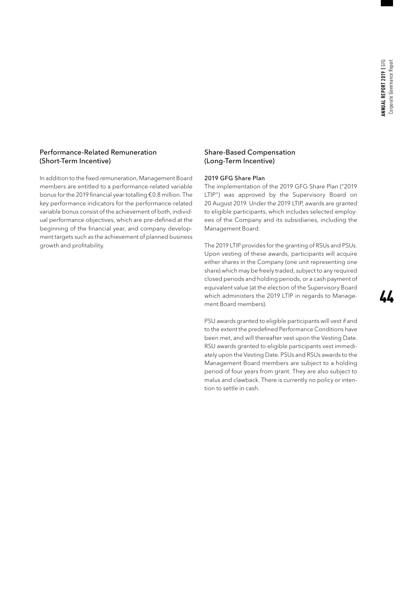#### Performance-Related Remuneration (Short-Term Incentive)

In addition to the fixed remuneration, Management Board members are entitled to a performance-related variable bonus for the 2019 financial year totalling €0.8 million. The key performance indicators for the performance-related variable bonus consist of the achievement of both, individual performance objectives, which are pre-defined at the beginning of the financial year, and company development targets such as the achievement of planned business growth and profitability.

#### Share-Based Compensation (Long-Term Incentive)

#### 2019 GFG Share Plan

The implementation of the 2019 GFG Share Plan ("2019 LTIP") was approved by the Supervisory Board on 20 August 2019. Under the 2019 LTIP, awards are granted to eligible participants, which includes selected employees of the Company and its subsidiaries, including the Management Board.

The 2019 LTIP provides for the granting of RSUs and PSUs. Upon vesting of these awards, participants will acquire either shares in the Company (one unit representing one share) which may be freely traded, subject to any required closed periods and holding periods, or a cash payment of equivalent value (at the election of the Supervisory Board which administers the 2019 LTIP in regards to Management Board members).

PSU awards granted to eligible participants will vest if and to the extent the predefined Performance Conditions have been met, and will thereafter vest upon the Vesting Date. RSU awards granted to eligible participants vest immediately upon the Vesting Date. PSUs and RSUs awards to the Management Board members are subject to a holding period of four years from grant. They are also subject to malus and clawback. There is currently no policy or intention to settle in cash.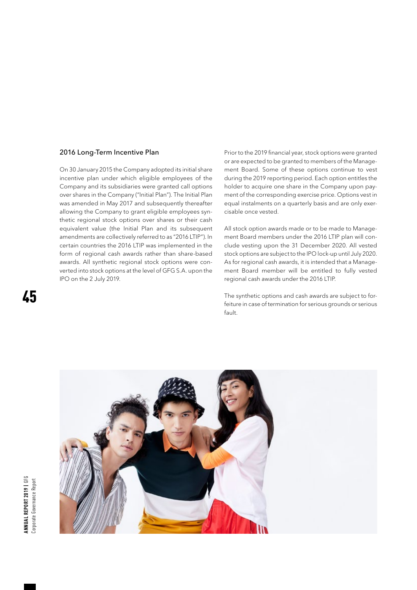#### 2016 Long-Term Incentive Plan

On 30 January 2015 the Company adopted its initial share incentive plan under which eligible employees of the Company and its subsidiaries were granted call options over shares in the Company ("Initial Plan"). The Initial Plan was amended in May 2017 and subsequently thereafter allowing the Company to grant eligible employees synthetic regional stock options over shares or their cash equivalent value (the Initial Plan and its subsequent amendments are collectively referred to as "2016 LTIP"). In certain countries the 2016 LTIP was implemented in the form of regional cash awards rather than share-based awards. All synthetic regional stock options were converted into stock options at the level of GFG S.A. upon the IPO on the 2 July 2019.

Prior to the 2019 financial year, stock options were granted or are expected to be granted to members of the Management Board. Some of these options continue to vest during the 2019 reporting period. Each option entitles the holder to acquire one share in the Company upon payment of the corresponding exercise price. Options vest in equal instalments on a quarterly basis and are only exercisable once vested.

All stock option awards made or to be made to Management Board members under the 2016 LTIP plan will conclude vesting upon the 31 December 2020. All vested stock options are subject to the IPO lock-up until July 2020. As for regional cash awards, it is intended that a Management Board member will be entitled to fully vested regional cash awards under the 2016 LTIP.

The synthetic options and cash awards are subject to forfeiture in case of termination for serious grounds or serious fault.

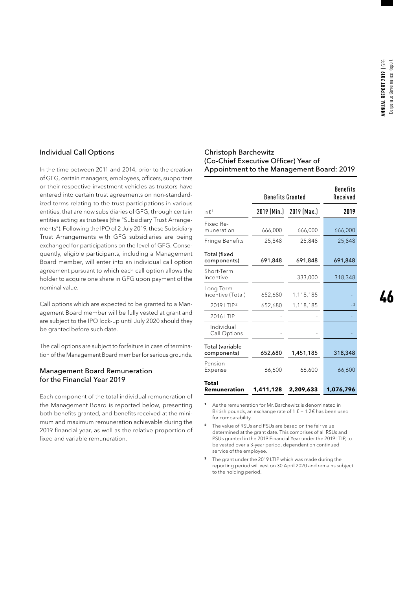#### Individual Call Options

In the time between 2011 and 2014, prior to the creation of GFG, certain managers, employees, officers, supporters or their respective investment vehicles as trustors have entered into certain trust agreements on non-standardized terms relating to the trust participations in various entities, that are now subsidiaries of GFG, through certain entities acting as trustees (the "Subsidiary Trust Arrangements"). Following the IPO of 2 July 2019, these Subsidiary Trust Arrangements with GFG subsidiaries are being exchanged for participations on the level of GFG. Consequently, eligible participants, including a Management Board member, will enter into an individual call option agreement pursuant to which each call option allows the holder to acquire one share in GFG upon payment of the nominal value.

Call options which are expected to be granted to a Management Board member will be fully vested at grant and are subject to the IPO lock-up until July 2020 should they be granted before such date.

The call options are subject to forfeiture in case of termination of the Management Board member for serious grounds.

#### Management Board Remuneration for the Financial Year 2019

Each component of the total individual remuneration of the Management Board is reported below, presenting both benefits granted, and benefits received at the minimum and maximum remuneration achievable during the 2019 financial year, as well as the relative proportion of fixed and variable remuneration.

#### Christoph Barchewitz (Co-Chief Executive Officer) Year of Appointment to the Management Board: 2019

|                                | <b>Benefits Granted</b> | <b>Benefits</b><br>Received |           |
|--------------------------------|-------------------------|-----------------------------|-----------|
| In $\mathbf{f}^1$              |                         | 2019 (Min.) 2019 (Max.)     | 2019      |
| Fixed Re-<br>muneration        | 666,000                 | 666,000                     | 666,000   |
| Fringe Benefits                | 25,848                  | 25,848                      | 25,848    |
| Total (fixed<br>components)    | 691,848                 | 691,848                     | 691,848   |
| Short-Term<br>Incentive        |                         | 333,000                     | 318,348   |
| Long-Term<br>Incentive (Total) | 652,680                 | 1,118,185                   |           |
| 2019 LTIP <sup>2</sup>         | 652,680                 | 1,118,185                   | $-3$      |
| 2016 LTIP                      |                         |                             |           |
| Individual<br>Call Options     |                         |                             |           |
| Total (variable<br>components) | 652,680                 | 1,451,185                   | 318,348   |
| Pension<br>Expense             | 66,600                  | 66,600                      | 66,600    |
| Total<br>Remuneration          | 1,411,128               | 2,209,633                   | 1,076,796 |

- **<sup>1</sup>** As the remuneration for Mr. Barchewitz is denominated in British pounds, an exchange rate of 1  $f = 1.2 \epsilon$  has been used for comparability.
- **<sup>2</sup>** The value of RSUs and PSUs are based on the fair value determined at the grant date. This comprises of all RSUs and PSUs granted in the 2019 Financial Year under the 2019 LTIP, to be vested over a 3-year period, dependent on continued service of the employee.
- **<sup>3</sup>** The grant under the 2019 LTIP which was made during the reporting period will vest on 30 April 2020 and remains subject to the holding period.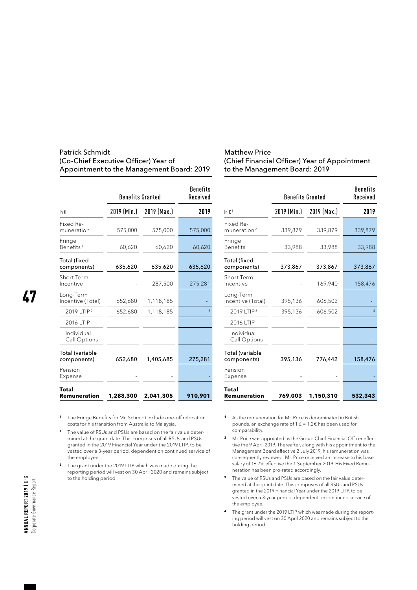#### Patrick Schmidt (Co-Chief Executive Officer) Year of Appointment to the Management Board: 2019

|                                 | <b>Benefits Granted</b> | <b>Benefits</b><br>Received |                         |
|---------------------------------|-------------------------|-----------------------------|-------------------------|
| In $f$ .                        | 2019 (Min.)             | 2019 (Max.)                 | 2019                    |
| Fixed Re-<br>muneration         | 575,000                 | 575,000                     | 575,000                 |
| Fringe<br>Benefits <sup>1</sup> | 60,620                  | 60,620                      | 60,620                  |
| Total (fixed<br>components)     | 635,620                 | 635,620                     | 635,620                 |
| Short-Term<br>Incentive         |                         | 287,500                     | 275,281                 |
| Long-Term<br>Incentive (Total)  | 652,680                 | 1,118,185                   |                         |
| 2019 LTIP <sup>2</sup>          | 652,680                 | 1,118,185                   | $\overline{\mathbf{3}}$ |
| 2016 LTIP                       |                         |                             |                         |
| Individual<br>Call Options      |                         |                             |                         |
| Total (variable<br>components)  | 652,680                 | 1,405,685                   | 275,281                 |
| Pension<br>Expense              |                         |                             |                         |
| Total<br>Remuneration           | 1,288,300               | 2,041,305                   | 910,901                 |

#### Matthew Price (Chief Financial Officer) Year of Appointment to the Management Board: 2019

|                                | <b>Benefits Granted</b> | <b>Benefits</b><br>Received |                |
|--------------------------------|-------------------------|-----------------------------|----------------|
| In $\epsilon$ <sup>1</sup>     |                         | 2019 (Min.) 2019 (Max.)     | 2019           |
| Fixed Re-<br>muneration $2$    | 339,879                 | 339,879                     | 339,879        |
| Fringe<br><b>Benefits</b>      | 33,988                  | 33,988                      | 33,988         |
| Total (fixed<br>components)    | 373,867                 | 373,867                     | 373,867        |
| Short-Term<br>Incentive        |                         | 169,940                     | 158,476        |
| Long-Term<br>Incentive (Total) | 395,136                 | 606,502                     |                |
| 2019 LTIP <sup>3</sup>         | 395,136                 | 606,502                     | $\overline{4}$ |
| 2016 LTIP                      |                         |                             |                |
| Individual<br>Call Options     |                         |                             |                |
| Total (variable<br>components) | 395,136                 | 776,442                     | 158,476        |
| Pension<br>Expense             |                         |                             |                |
| Total<br>Remuneration          | 769,003                 | 1,150,310                   | 532,343        |

**<sup>1</sup>** The Fringe Benefits for Mr. Schmidt include one-off relocation costs for his transition from Australia to Malaysia.

**2** The value of RSUs and PSUs are based on the fair value determined at the grant date. This comprises of all RSUs and PSUs granted in the 2019 Financial Year under the 2019 LTIP, to be vested over a 3-year period, dependent on continued service of the employee.

- **<sup>3</sup>** The grant under the 2019 LTIP which was made during the reporting period will vest on 30 April 2020 and remains subject to the holding period.
- **<sup>1</sup>** As the remuneration for Mr. Price is denominated in British pounds, an exchange rate of 1  $f$  = 1.2 $f$  has been used for comparability.
- **2** Mr. Price was appointed as the Group Chief Financial Officer effective the 9 April 2019. Thereafter, along with his appointment to the Management Board effective 2 July 2019, his remuneration was consequently reviewed. Mr. Price received an increase to his base salary of 16.7% effective the 1 September 2019. His Fixed Remuneration has been pro-rated accordingly.
- **<sup>3</sup>** The value of RSUs and PSUs are based on the fair value determined at the grant date. This comprises of all RSUs and PSUs granted in the 2019 Financial Year under the 2019 LTIP, to be vested over a 3-year period, dependent on continued service of the employee.
- **<sup>4</sup>** The grant under the 2019 LTIP which was made during the reporting period will vest on 30 April 2020 and remains subject to the holding period.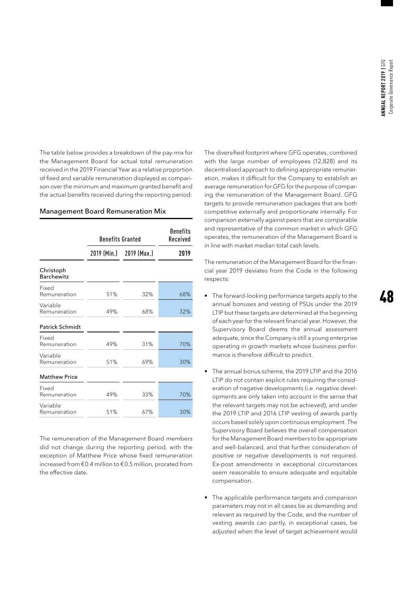The table below provides a breakdown of the pay-mix for the Management Board for actual total remuneration received in the 2019 Financial Year as a relative proportion of fixed and variable remuneration displayed as comparison over the minimum and maximum granted benefit and the actual benefits received during the reporting period:

| <b>Management Board Remuneration Mix</b> |  |  |
|------------------------------------------|--|--|
|                                          |  |  |

|                                | <b>Benefits Granted</b> |                         | <b>Benefits</b><br>Received |
|--------------------------------|-------------------------|-------------------------|-----------------------------|
|                                |                         | 2019 (Min.) 2019 (Max.) | 2019                        |
| Christoph<br><b>Barchewitz</b> |                         |                         |                             |
| Fixed<br>Remuneration          | 51%                     | 32%                     | 68%                         |
| Variable<br>Remuneration       | 49%                     | 68%                     | 32%                         |
| <b>Patrick Schmidt</b>         |                         |                         |                             |
| Fixed<br>Remuneration          | 49%                     | 31%                     | 70%                         |
| Variable<br>Remuneration       | 51%                     | 69%                     | 30%                         |
| <b>Matthew Price</b>           |                         |                         |                             |
| Fixed<br>Remuneration          | 49%                     | 33%                     | 70%                         |
| Variable<br>Remuneration       | 51%                     | 67%                     | 30%                         |

The remuneration of the Management Board members did not change during the reporting period, with the exception of Matthew Price whose fixed remuneration increased from €0.4 million to €0.5 million, prorated from the effective date.

The diversified footprint where GFG operates, combined with the large number of employees (12,828) and its decentralised approach to defining appropriate remuneration, makes it difficult for the Company to establish an average remuneration for GFG for the purpose of comparing the remuneration of the Management Board. GFG targets to provide remuneration packages that are both competitive externally and proportionate internally. For comparison externally against peers that are comparable and representative of the common market in which GFG operates, the remuneration of the Management Board is in line with market median total cash levels.

The remuneration of the Management Board for the financial year 2019 deviates from the Code in the following respects:

- The forward-looking performance targets apply to the annual bonuses and vesting of PSUs under the 2019 LTIP but these targets are determined at the beginning of each year for the relevant financial year. However, the Supervisory Board deems the annual assessment adequate, since the Company is still a young enterprise operating in growth markets whose business performance is therefore difficult to predict.
- The annual bonus scheme, the 2019 LTIP and the 2016 LTIP do not contain explicit rules requiring the consideration of negative developments (i.e. negative developments are only taken into account in the sense that the relevant targets may not be achieved), and under the 2019 LTIP and 2016 LTIP vesting of awards partly occurs based solely upon continuous employment. The Supervisory Board believes the overall compensation for the Management Board members to be appropriate and well-balanced, and that further consideration of positive or negative developments is not required. Ex-post amendments in exceptional circumstances seem reasonable to ensure adequate and equitable compensation.
- The applicable performance targets and comparison parameters may not in all cases be as demanding and relevant as required by the Code, and the number of vesting awards can partly, in exceptional cases, be adjusted when the level of target achievement would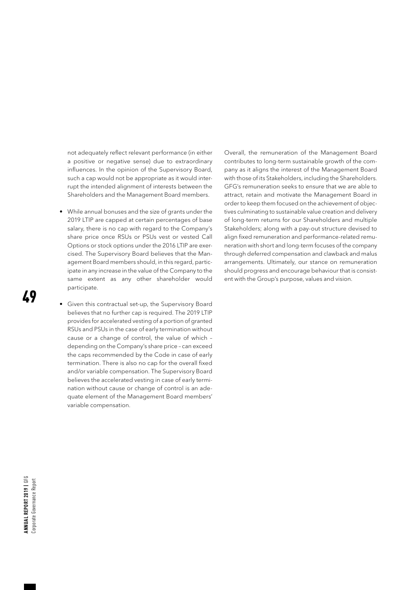not adequately reflect relevant performance (in either a positive or negative sense) due to extraordinary influences. In the opinion of the Supervisory Board, such a cap would not be appropriate as it would interrupt the intended alignment of interests between the Shareholders and the Management Board members.

- While annual bonuses and the size of grants under the 2019 LTIP are capped at certain percentages of base salary, there is no cap with regard to the Company's share price once RSUs or PSUs vest or vested Call Options or stock options under the 2016 LTIP are exercised. The Supervisory Board believes that the Management Board members should, in this regard, participate in any increase in the value of the Company to the same extent as any other shareholder would participate.
- Given this contractual set-up, the Supervisory Board believes that no further cap is required. The 2019 LTIP provides for accelerated vesting of a portion of granted RSUs and PSUs in the case of early termination without cause or a change of control, the value of which – depending on the Company's share price – can exceed the caps recommended by the Code in case of early termination. There is also no cap for the overall fixed and/or variable compensation. The Supervisory Board believes the accelerated vesting in case of early termination without cause or change of control is an adequate element of the Management Board members' variable compensation.

Overall, the remuneration of the Management Board contributes to long-term sustainable growth of the company as it aligns the interest of the Management Board with those of its Stakeholders, including the Shareholders. GFG's remuneration seeks to ensure that we are able to attract, retain and motivate the Management Board in order to keep them focused on the achievement of objectives culminating to sustainable value creation and delivery of long-term returns for our Shareholders and multiple Stakeholders; along with a pay-out structure devised to align fixed remuneration and performance-related remuneration with short and long-term focuses of the company through deferred compensation and clawback and malus arrangements. Ultimately, our stance on remuneration should progress and encourage behaviour that is consistent with the Group's purpose, values and vision.

49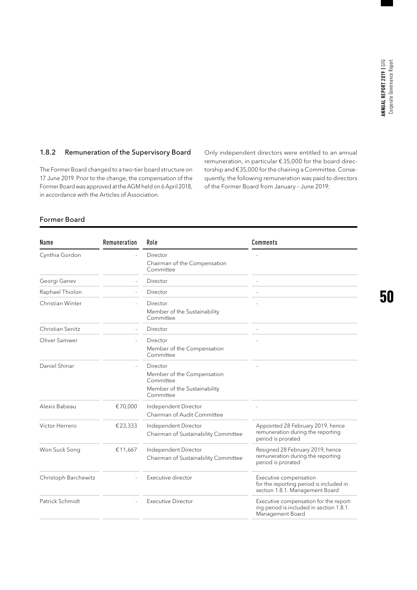#### 1.8.2 Remuneration of the Supervisory Board

The Former Board changed to a two-tier board structure on 17 June 2019. Prior to the change, the compensation of the Former Board was approved at the AGM held on 6April 2018, in accordance with the Articles of Association.

Only independent directors were entitled to an annual remuneration, in particular €35,000 for the board directorship and €35,000 for the chairing a Committee. Consequently, the following remuneration was paid to directors of the Former Board from January – June 2019:

#### Former Board

| Remuneration<br>Role<br>Name                 |         |                                                                                                        | Comments                                                                                             |  |  |
|----------------------------------------------|---------|--------------------------------------------------------------------------------------------------------|------------------------------------------------------------------------------------------------------|--|--|
| Cynthia Gordon                               |         | Director<br>Chairman of the Compensation<br>Committee                                                  |                                                                                                      |  |  |
| Georgi Ganev                                 |         | Director                                                                                               |                                                                                                      |  |  |
| Raphael Thiolon                              |         | Director                                                                                               |                                                                                                      |  |  |
| Christian Winter                             |         | Director<br>Member of the Sustainability<br>Committee                                                  |                                                                                                      |  |  |
| Christian Senitz                             |         | Director                                                                                               | $\overline{a}$                                                                                       |  |  |
| Oliver Samwer                                |         | Director<br>Member of the Compensation<br>Committee                                                    |                                                                                                      |  |  |
| Daniel Shinar                                |         | Director<br>Member of the Compensation<br>Committee<br>Member of the Sustainability<br>Committee       |                                                                                                      |  |  |
| Alexis Babeau                                | €70,000 | Independent Director<br>Chairman of Audit Committee                                                    |                                                                                                      |  |  |
| Victor Herrero                               | €23,333 | Independent Director<br>Chairman of Sustainability Committee                                           | Appointed 28 February 2019, hence<br>remuneration during the reporting<br>period is prorated         |  |  |
| Won Suck Song                                | €11,667 | Independent Director<br>Chairman of Sustainability Committee                                           | Resigned 28 February 2019, hence<br>remuneration during the reporting<br>period is prorated          |  |  |
| Christoph Barchewitz                         |         | Executive director                                                                                     | Executive compensation<br>for the reporting period is included in<br>section 1.8.1. Management Board |  |  |
| Patrick Schmidt<br><b>Executive Director</b> |         | Executive compensation for the report-<br>ing period is included in section 1.8.1.<br>Management Board |                                                                                                      |  |  |
|                                              |         |                                                                                                        |                                                                                                      |  |  |

50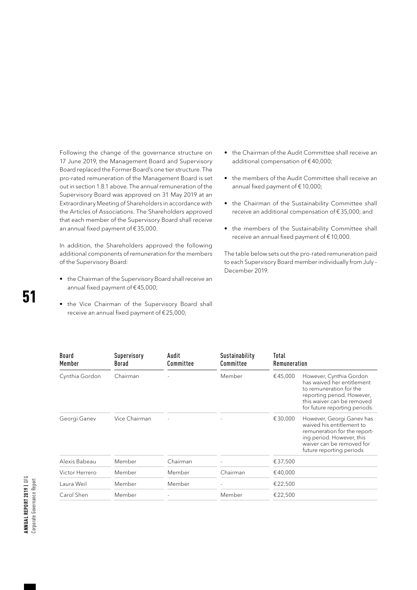Following the change of the governance structure on 17 June 2019, the Management Board and Supervisory Board replaced the Former Board's one tier structure. The pro-rated remuneration of the Management Board is set out in section 1.8.1 above. The annual remuneration of the Supervisory Board was approved on 31 May 2019 at an Extraordinary Meeting of Shareholders in accordance with the Articles of Associations. The Shareholders approved that each member of the Supervisory Board shall receive an annual fixed payment of €35,000.

In addition, the Shareholders approved the following additional components of remuneration for the members of the Supervisory Board:

• the Chairman of the Supervisory Board shall receive an annual fixed payment of €45,000;

• the Vice Chairman of the Supervisory Board shall receive an annual fixed payment of €25,000;

- the Chairman of the Audit Committee shall receive an additional compensation of €40,000;
- the members of the Audit Committee shall receive an annual fixed payment of €10,000;
- the Chairman of the Sustainability Committee shall receive an additional compensation of €35,000; and
- the members of the Sustainability Committee shall receive an annual fixed payment of €10,000.

The table below sets out the pro-rated remuneration paid to each Supervisory Board member individually from July – December 2019.

| Board<br>Member | Supervisory<br>Borad<br>Chairman | Audit<br>Committee | Sustainability<br>Committee<br>Member | Total<br>Remuneration |                                                                                                                                                                               |  |
|-----------------|----------------------------------|--------------------|---------------------------------------|-----------------------|-------------------------------------------------------------------------------------------------------------------------------------------------------------------------------|--|
| Cynthia Gordon  |                                  |                    |                                       | €45,000               | However, Cynthia Gordon<br>has waived her entitlement<br>to remuneration for the<br>reporting period. However,<br>this waiver can be removed<br>for future reporting periods. |  |
| Georgi Ganev    | Vice Chairman                    |                    |                                       | €30,000               | However, Georgi Ganev has<br>waived his entitlement to<br>remuneration for the report-<br>ing period. However, this<br>waiver can be removed for<br>future reporting periods  |  |
| Alexis Babeau   | Member                           | Chairman           |                                       | €37,500               |                                                                                                                                                                               |  |
| Victor Herrero  | Member                           | Member             | Chairman                              | €40,000               |                                                                                                                                                                               |  |
| Laura Weil      | Member                           | Member             |                                       | €22,500               |                                                                                                                                                                               |  |
| Carol Shen      | Member                           |                    | Member                                | €22,500               |                                                                                                                                                                               |  |